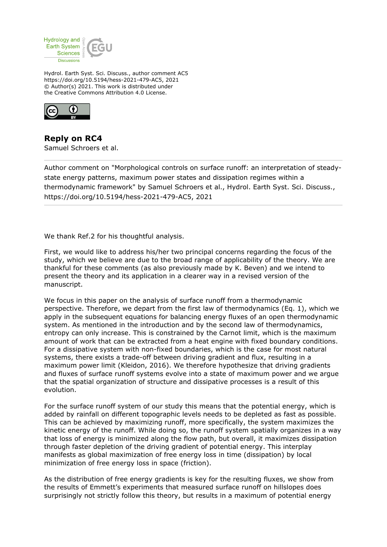

Hydrol. Earth Syst. Sci. Discuss., author comment AC5 https://doi.org/10.5194/hess-2021-479-AC5, 2021 © Author(s) 2021. This work is distributed under the Creative Commons Attribution 4.0 License.



**Reply on RC4** Samuel Schroers et al.

Author comment on "Morphological controls on surface runoff: an interpretation of steadystate energy patterns, maximum power states and dissipation regimes within a thermodynamic framework" by Samuel Schroers et al., Hydrol. Earth Syst. Sci. Discuss., https://doi.org/10.5194/hess-2021-479-AC5, 2021

We thank Ref.2 for his thoughtful analysis.

First, we would like to address his/her two principal concerns regarding the focus of the study, which we believe are due to the broad range of applicability of the theory. We are thankful for these comments (as also previously made by K. Beven) and we intend to present the theory and its application in a clearer way in a revised version of the manuscript.

We focus in this paper on the analysis of surface runoff from a thermodynamic perspective. Therefore, we depart from the first law of thermodynamics (Eq. 1), which we apply in the subsequent equations for balancing energy fluxes of an open thermodynamic system. As mentioned in the introduction and by the second law of thermodynamics, entropy can only increase. This is constrained by the Carnot limit, which is the maximum amount of work that can be extracted from a heat engine with fixed boundary conditions. For a dissipative system with non-fixed boundaries, which is the case for most natural systems, there exists a trade-off between driving gradient and flux, resulting in a maximum power limit (Kleidon, 2016). We therefore hypothesize that driving gradients and fluxes of surface runoff systems evolve into a state of maximum power and we argue that the spatial organization of structure and dissipative processes is a result of this evolution.

For the surface runoff system of our study this means that the potential energy, which is added by rainfall on different topographic levels needs to be depleted as fast as possible. This can be achieved by maximizing runoff, more specifically, the system maximizes the kinetic energy of the runoff. While doing so, the runoff system spatially organizes in a way that loss of energy is minimized along the flow path, but overall, it maximizes dissipation through faster depletion of the driving gradient of potential energy. This interplay manifests as global maximization of free energy loss in time (dissipation) by local minimization of free energy loss in space (friction).

As the distribution of free energy gradients is key for the resulting fluxes, we show from the results of Emmett's experiments that measured surface runoff on hillslopes does surprisingly not strictly follow this theory, but results in a maximum of potential energy